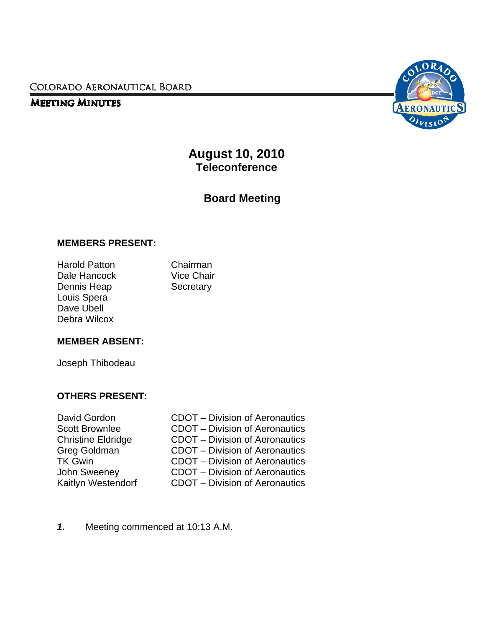COLORADO AERONAUTICAL BOARD

# **MEETING MINUTES**



**August 10, 2010 Teleconference** 

**Board Meeting** 

#### **MEMBERS PRESENT:**

Harold Patton Chairman Dale Hancock Vice Chair Dennis Heap Secretary Louis Spera Dave Ubell Debra Wilcox

# **MEMBER ABSENT:**

Joseph Thibodeau

# **OTHERS PRESENT:**

- 
- David Gordon CDOT Division of Aeronautics Scott Brownlee CDOT – Division of Aeronautics Christine Eldridge CDOT – Division of Aeronautics Greg Goldman CDOT – Division of Aeronautics TK Gwin CDOT – Division of Aeronautics<br>John Sweeney CDOT – Division of Aeronautics John Sweeney **CDOT** – Division of Aeronautics<br>Kaitlyn Westendorf **CDOT** – Division of Aeronautics CDOT – Division of Aeronautics
- *1.* Meeting commenced at 10:13 A.M.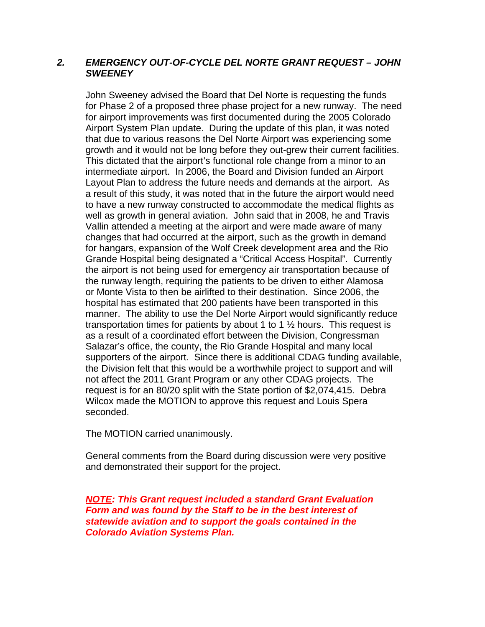#### *2. EMERGENCY OUT-OF-CYCLE DEL NORTE GRANT REQUEST – JOHN SWEENEY*

John Sweeney advised the Board that Del Norte is requesting the funds for Phase 2 of a proposed three phase project for a new runway. The need for airport improvements was first documented during the 2005 Colorado Airport System Plan update. During the update of this plan, it was noted that due to various reasons the Del Norte Airport was experiencing some growth and it would not be long before they out-grew their current facilities. This dictated that the airport's functional role change from a minor to an intermediate airport. In 2006, the Board and Division funded an Airport Layout Plan to address the future needs and demands at the airport. As a result of this study, it was noted that in the future the airport would need to have a new runway constructed to accommodate the medical flights as well as growth in general aviation. John said that in 2008, he and Travis Vallin attended a meeting at the airport and were made aware of many changes that had occurred at the airport, such as the growth in demand for hangars, expansion of the Wolf Creek development area and the Rio Grande Hospital being designated a "Critical Access Hospital". Currently the airport is not being used for emergency air transportation because of the runway length, requiring the patients to be driven to either Alamosa or Monte Vista to then be airlifted to their destination. Since 2006, the hospital has estimated that 200 patients have been transported in this manner. The ability to use the Del Norte Airport would significantly reduce transportation times for patients by about 1 to 1  $\frac{1}{2}$  hours. This request is as a result of a coordinated effort between the Division, Congressman Salazar's office, the county, the Rio Grande Hospital and many local supporters of the airport. Since there is additional CDAG funding available, the Division felt that this would be a worthwhile project to support and will not affect the 2011 Grant Program or any other CDAG projects. The request is for an 80/20 split with the State portion of \$2,074,415. Debra Wilcox made the MOTION to approve this request and Louis Spera seconded.

The MOTION carried unanimously.

General comments from the Board during discussion were very positive and demonstrated their support for the project.

*NOTE: This Grant request included a standard Grant Evaluation Form and was found by the Staff to be in the best interest of statewide aviation and to support the goals contained in the Colorado Aviation Systems Plan.*